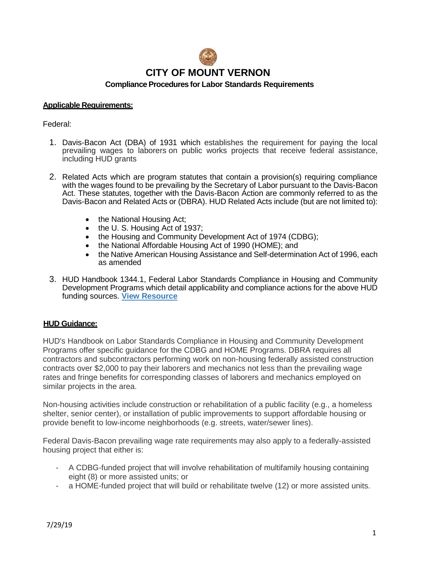

# **Applicable Requirements:**

# Federal:

- 1. Davis-Bacon Act (DBA) of 1931 which establishes the requirement for paying the local prevailing wages to laborers on public works projects that receive federal assistance, including HUD grants
- 2. Related Acts which are program statutes that contain a provision(s) requiring compliance with the wages found to be prevailing by the Secretary of Labor pursuant to the Davis-Bacon Act. These statutes, together with the Davis-Bacon Action are commonly referred to as the Davis-Bacon and Related Acts or (DBRA). HUD Related Acts include (but are not limited to):
	- the National Housing Act;
	- the U.S. Housing Act of 1937;
	- the Housing and Community Development Act of 1974 (CDBG);
	- the National Affordable Housing Act of 1990 (HOME); and
	- the Native American Housing Assistance and Self-determination Act of 1996, each as amended
- 3. HUD Handbook 1344.1, Federal Labor Standards Compliance in Housing and Community Development Programs which detail applicability and compliance actions for the above HUD funding sources. **[View Resource](https://www.hud.gov/program_offices/administration/hudclips/handbooks/sech/13441)**

# **HUD Guidance:**

HUD's Handbook on Labor Standards Compliance in Housing and Community Development Programs offer specific guidance for the CDBG and HOME Programs. DBRA requires all contractors and subcontractors performing work on non-housing federally assisted construction contracts over \$2,000 to pay their laborers and mechanics not less than the prevailing wage rates and fringe benefits for corresponding classes of laborers and mechanics employed on similar projects in the area.

Non-housing activities include construction or rehabilitation of a public facility (e.g., a homeless shelter, senior center), or installation of public improvements to support affordable housing or provide benefit to low-income neighborhoods (e.g. streets, water/sewer lines).

Federal Davis-Bacon prevailing wage rate requirements may also apply to a federally-assisted housing project that either is:

- A CDBG-funded project that will involve rehabilitation of multifamily housing containing eight (8) or more assisted units; or
- a HOME-funded project that will build or rehabilitate twelve (12) or more assisted units.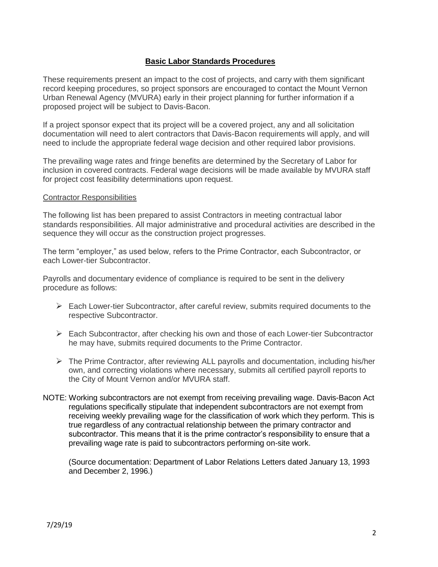# **Basic Labor Standards Procedures**

These requirements present an impact to the cost of projects, and carry with them significant record keeping procedures, so project sponsors are encouraged to contact the Mount Vernon Urban Renewal Agency (MVURA) early in their project planning for further information if a proposed project will be subject to Davis-Bacon.

If a project sponsor expect that its project will be a covered project, any and all solicitation documentation will need to alert contractors that Davis-Bacon requirements will apply, and will need to include the appropriate federal wage decision and other required labor provisions.

The prevailing wage rates and fringe benefits are determined by the Secretary of Labor for inclusion in covered contracts. Federal wage decisions will be made available by MVURA staff for project cost feasibility determinations upon request.

# Contractor Responsibilities

The following list has been prepared to assist Contractors in meeting contractual labor standards responsibilities. All major administrative and procedural activities are described in the sequence they will occur as the construction project progresses.

The term "employer," as used below, refers to the Prime Contractor, each Subcontractor, or each Lower-tier Subcontractor.

Payrolls and documentary evidence of compliance is required to be sent in the delivery procedure as follows:

- $\triangleright$  Each Lower-tier Subcontractor, after careful review, submits required documents to the respective Subcontractor.
- ➢ Each Subcontractor, after checking his own and those of each Lower-tier Subcontractor he may have, submits required documents to the Prime Contractor.
- $\triangleright$  The Prime Contractor, after reviewing ALL payrolls and documentation, including his/her own, and correcting violations where necessary, submits all certified payroll reports to the City of Mount Vernon and/or MVURA staff.
- NOTE: Working subcontractors are not exempt from receiving prevailing wage. Davis-Bacon Act regulations specifically stipulate that independent subcontractors are not exempt from receiving weekly prevailing wage for the classification of work which they perform. This is true regardless of any contractual relationship between the primary contractor and subcontractor. This means that it is the prime contractor's responsibility to ensure that a prevailing wage rate is paid to subcontractors performing on-site work.

(Source documentation: Department of Labor Relations Letters dated January 13, 1993 and December 2, 1996.)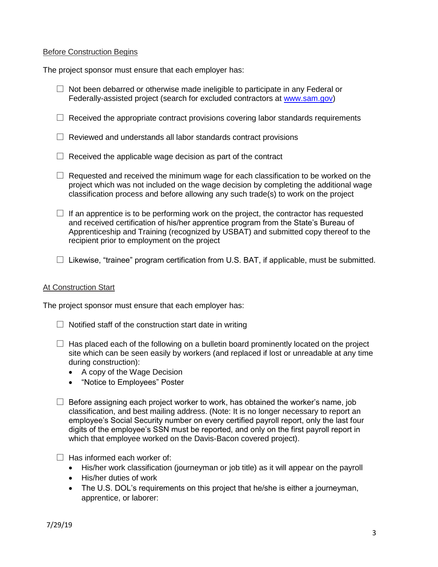#### Before Construction Begins

The project sponsor must ensure that each employer has:

- $\Box$  Not been debarred or otherwise made ineligible to participate in any Federal or Federally-assisted project (search for excluded contractors at [www.sam.gov\)](http://www.sam.gov/)
- $\Box$  Received the appropriate contract provisions covering labor standards requirements
- $\Box$  Reviewed and understands all labor standards contract provisions
- $\Box$  Received the applicable wage decision as part of the contract
- $\Box$  Requested and received the minimum wage for each classification to be worked on the project which was not included on the wage decision by completing the additional wage classification process and before allowing any such trade(s) to work on the project
- $\Box$  If an apprentice is to be performing work on the project, the contractor has requested and received certification of his/her apprentice program from the State's Bureau of Apprenticeship and Training (recognized by USBAT) and submitted copy thereof to the recipient prior to employment on the project
- $\Box$  Likewise, "trainee" program certification from U.S. BAT, if applicable, must be submitted.

# At Construction Start

The project sponsor must ensure that each employer has:

- $\Box$  Notified staff of the construction start date in writing
- $\Box$  Has placed each of the following on a bulletin board prominently located on the project site which can be seen easily by workers (and replaced if lost or unreadable at any time during construction):
	- A copy of the Wage Decision
	- "Notice to Employees" Poster
- $\Box$  Before assigning each project worker to work, has obtained the worker's name, job classification, and best mailing address. (Note: It is no longer necessary to report an employee's Social Security number on every certified payroll report, only the last four digits of the employee's SSN must be reported, and only on the first payroll report in which that employee worked on the Davis-Bacon covered project).

 $\Box$  Has informed each worker of:

- His/her work classification (journeyman or job title) as it will appear on the payroll
- His/her duties of work
- The U.S. DOL's requirements on this project that he/she is either a journeyman, apprentice, or laborer: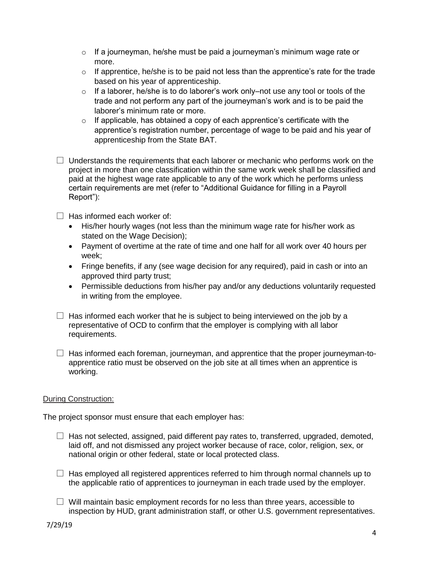- $\circ$  If a journeyman, he/she must be paid a journeyman's minimum wage rate or more.
- $\circ$  If apprentice, he/she is to be paid not less than the apprentice's rate for the trade based on his year of apprenticeship.
- $\circ$  If a laborer, he/she is to do laborer's work only–not use any tool or tools of the trade and not perform any part of the journeyman's work and is to be paid the laborer's minimum rate or more.
- $\circ$  If applicable, has obtained a copy of each apprentice's certificate with the apprentice's registration number, percentage of wage to be paid and his year of apprenticeship from the State BAT.
- $\Box$  Understands the requirements that each laborer or mechanic who performs work on the project in more than one classification within the same work week shall be classified and paid at the highest wage rate applicable to any of the work which he performs unless certain requirements are met (refer to "Additional Guidance for filling in a Payroll Report"):
- $\Box$  Has informed each worker of:
	- His/her hourly wages (not less than the minimum wage rate for his/her work as stated on the Wage Decision);
	- Payment of overtime at the rate of time and one half for all work over 40 hours per week;
	- Fringe benefits, if any (see wage decision for any required), paid in cash or into an approved third party trust;
	- Permissible deductions from his/her pay and/or any deductions voluntarily requested in writing from the employee.
- $\Box$  Has informed each worker that he is subject to being interviewed on the job by a representative of OCD to confirm that the employer is complying with all labor requirements.
- $\Box$  Has informed each foreman, journeyman, and apprentice that the proper journeyman-toapprentice ratio must be observed on the job site at all times when an apprentice is working.

# During Construction:

The project sponsor must ensure that each employer has:

- $\Box$  Has not selected, assigned, paid different pay rates to, transferred, upgraded, demoted, laid off, and not dismissed any project worker because of race, color, religion, sex, or national origin or other federal, state or local protected class.
- $\Box$  Has employed all registered apprentices referred to him through normal channels up to the applicable ratio of apprentices to journeyman in each trade used by the employer.
- $\Box$  Will maintain basic employment records for no less than three years, accessible to inspection by HUD, grant administration staff, or other U.S. government representatives.